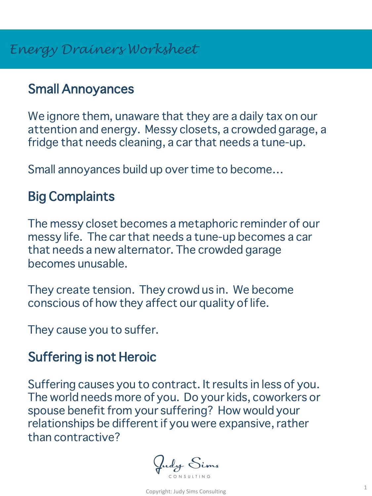## Small Annoyances

We ignore them, unaware that they are a daily tax on our attention and energy. Messy closets, a crowded garage, a fridge that needs cleaning, a car that needs a tune-up.

Small annoyances build up over time to become…

# Big Complaints

The messy closet becomes a metaphoric reminder of our messy life. The car that needs a tune-up becomes a car that needs a new alternator. The crowded garage becomes unusable.

They create tension. They crowd us in. We become conscious of how they affect our quality of life.

They cause you to suffer.

## Suffering is not Heroic

Suffering causes you to contract. It results in less of you. The world needs more of you. Do your kids, coworkers or spouse benefit from your suffering? How would your relationships be different if you were expansive, rather than contractive?

Judy Sims CONSULTING